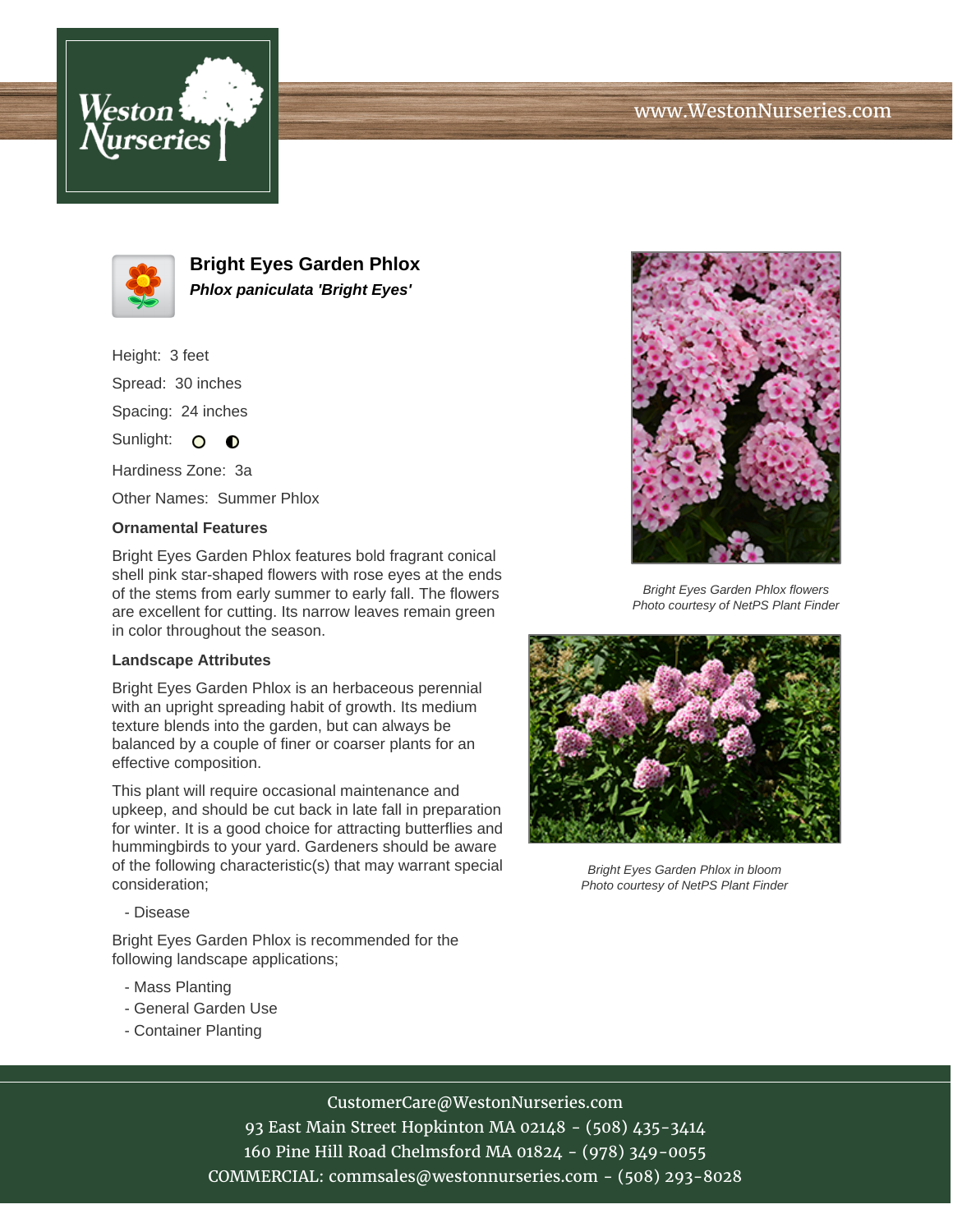



**Bright Eyes Garden Phlox Phlox paniculata 'Bright Eyes'**

Height: 3 feet Spread: 30 inches Spacing: 24 inches Sunlight:  $\circ$   $\bullet$ 

Hardiness Zone: 3a

Other Names: Summer Phlox

## **Ornamental Features**

Bright Eyes Garden Phlox features bold fragrant conical shell pink star-shaped flowers with rose eyes at the ends of the stems from early summer to early fall. The flowers are excellent for cutting. Its narrow leaves remain green in color throughout the season.

## **Landscape Attributes**

Bright Eyes Garden Phlox is an herbaceous perennial with an upright spreading habit of growth. Its medium texture blends into the garden, but can always be balanced by a couple of finer or coarser plants for an effective composition.

This plant will require occasional maintenance and upkeep, and should be cut back in late fall in preparation for winter. It is a good choice for attracting butterflies and hummingbirds to your yard. Gardeners should be aware of the following characteristic(s) that may warrant special consideration;

- Disease

Bright Eyes Garden Phlox is recommended for the following landscape applications;

- Mass Planting
- General Garden Use
- Container Planting



Bright Eyes Garden Phlox flowers Photo courtesy of NetPS Plant Finder



Bright Eyes Garden Phlox in bloom Photo courtesy of NetPS Plant Finder

## CustomerCare@WestonNurseries.com

93 East Main Street Hopkinton MA 02148 - (508) 435-3414 160 Pine Hill Road Chelmsford MA 01824 - (978) 349-0055 COMMERCIAL: commsales@westonnurseries.com - (508) 293-8028